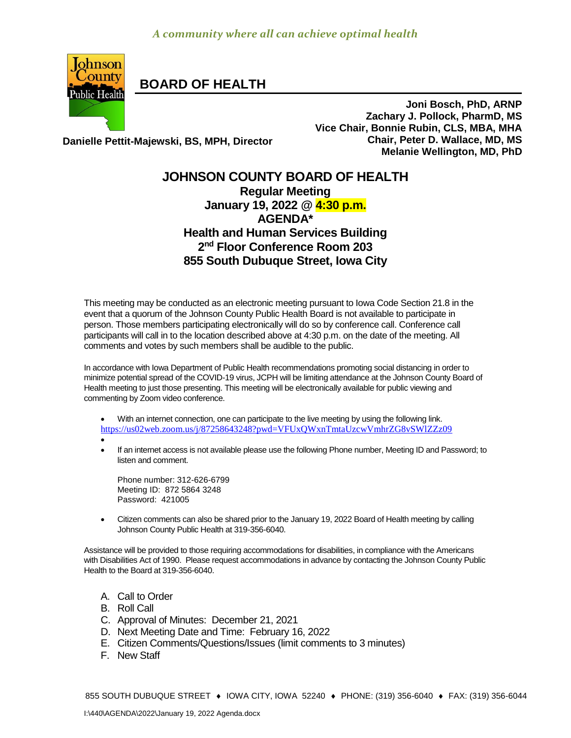

**BOARD OF HEALTH**

**Danielle Pettit-Majewski, BS, MPH, Director**

**Joni Bosch, PhD, ARNP Zachary J. Pollock, PharmD, MS Vice Chair, Bonnie Rubin, CLS, MBA, MHA Chair, Peter D. Wallace, MD, MS Melanie Wellington, MD, PhD**

## **JOHNSON COUNTY BOARD OF HEALTH Regular Meeting January 19, 2022 @ 4:30 p.m. AGENDA\* Health and Human Services Building 2 nd Floor Conference Room 203 855 South Dubuque Street, Iowa City**

This meeting may be conducted as an electronic meeting pursuant to Iowa Code Section 21.8 in the event that a quorum of the Johnson County Public Health Board is not available to participate in person. Those members participating electronically will do so by conference call. Conference call participants will call in to the location described above at 4:30 p.m. on the date of the meeting. All comments and votes by such members shall be audible to the public.

In accordance with Iowa Department of Public Health recommendations promoting social distancing in order to minimize potential spread of the COVID-19 virus, JCPH will be limiting attendance at the Johnson County Board of Health meeting to just those presenting. This meeting will be electronically available for public viewing and commenting by Zoom video conference.

 With an internet connection, one can participate to the live meeting by using the following link. <https://us02web.zoom.us/j/87258643248?pwd=VFUxQWxnTmtaUzcwVmhrZG8vSWlZZz09>

 $\bullet$ 

 If an internet access is not available please use the following Phone number, Meeting ID and Password; to listen and comment.

Phone number: 312-626-6799 Meeting ID: 872 5864 3248 Password: 421005

 [Citizen](http://citizen/) comments can also be shared prior to the January 19, 2022 Board of Health meeting by calling Johnson County Public Health at 319-356-6040.

Assistance will be provided to those requiring accommodations for disabilities, in compliance with the Americans with Disabilities Act of 1990. Please request accommodations in advance by contacting the Johnson County Public Health to the Board at 319-356-6040.

- A. Call to Order
- B. Roll Call
- C. Approval of Minutes: December 21, 2021
- D. Next Meeting Date and Time: February 16, 2022
- E. Citizen Comments/Questions/Issues (limit comments to 3 minutes)
- F. New Staff